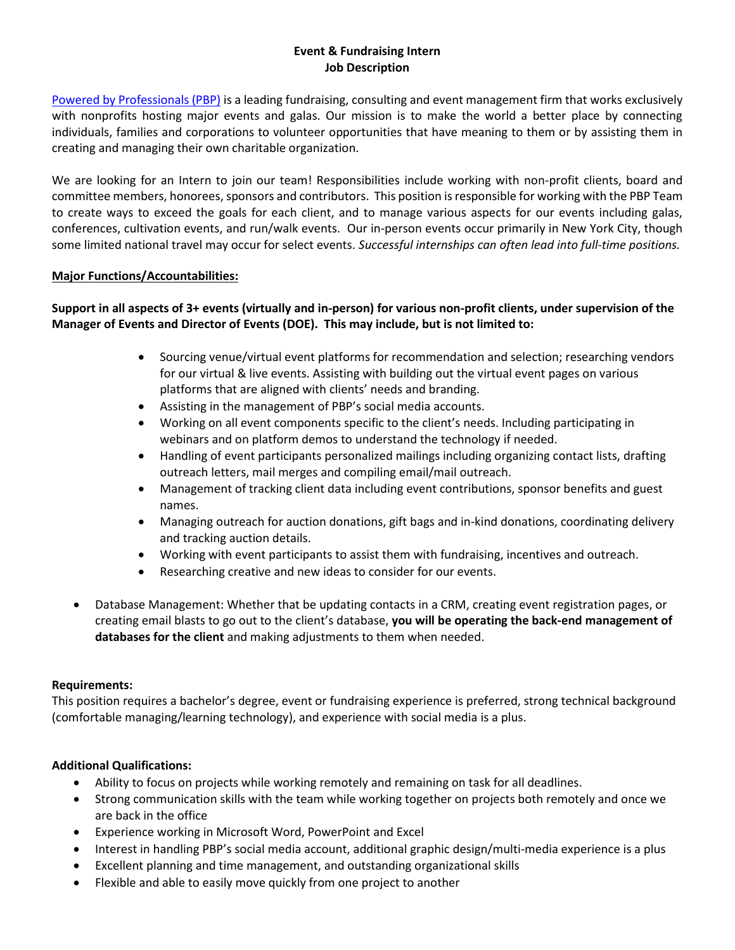## **Event & Fundraising Intern Job Description**

[Powered by Professionals \(PBP\)](https://www.poweredbyprofessionals.com/) is a leading fundraising, consulting and event management firm that works exclusively with nonprofits hosting major events and galas. Our mission is to make the world a better place by connecting individuals, families and corporations to volunteer opportunities that have meaning to them or by assisting them in creating and managing their own charitable organization.

We are looking for an Intern to join our team! Responsibilities include working with non-profit clients, board and committee members, honorees, sponsors and contributors. This position is responsible for working with the PBP Team to create ways to exceed the goals for each client, and to manage various aspects for our events including galas, conferences, cultivation events, and run/walk events. Our in-person events occur primarily in New York City, though some limited national travel may occur for select events. *Successful internships can often lead into full-time positions.*

### **Major Functions/Accountabilities:**

# **Support in all aspects of 3+ events (virtually and in-person) for various non-profit clients, under supervision of the Manager of Events and Director of Events (DOE). This may include, but is not limited to:**

- Sourcing venue/virtual event platforms for recommendation and selection; researching vendors for our virtual & live events. Assisting with building out the virtual event pages on various platforms that are aligned with clients' needs and branding.
- Assisting in the management of PBP's social media accounts.
- Working on all event components specific to the client's needs. Including participating in webinars and on platform demos to understand the technology if needed.
- Handling of event participants personalized mailings including organizing contact lists, drafting outreach letters, mail merges and compiling email/mail outreach.
- Management of tracking client data including event contributions, sponsor benefits and guest names.
- Managing outreach for auction donations, gift bags and in-kind donations, coordinating delivery and tracking auction details.
- Working with event participants to assist them with fundraising, incentives and outreach.
- Researching creative and new ideas to consider for our events.
- Database Management: Whether that be updating contacts in a CRM, creating event registration pages, or creating email blasts to go out to the client's database, **you will be operating the back-end management of databases for the client** and making adjustments to them when needed.

### **Requirements:**

This position requires a bachelor's degree, event or fundraising experience is preferred, strong technical background (comfortable managing/learning technology), and experience with social media is a plus.

## **Additional Qualifications:**

- Ability to focus on projects while working remotely and remaining on task for all deadlines.
- Strong communication skills with the team while working together on projects both remotely and once we are back in the office
- Experience working in Microsoft Word, PowerPoint and Excel
- Interest in handling PBP's social media account, additional graphic design/multi-media experience is a plus
- Excellent planning and time management, and outstanding organizational skills
- Flexible and able to easily move quickly from one project to another